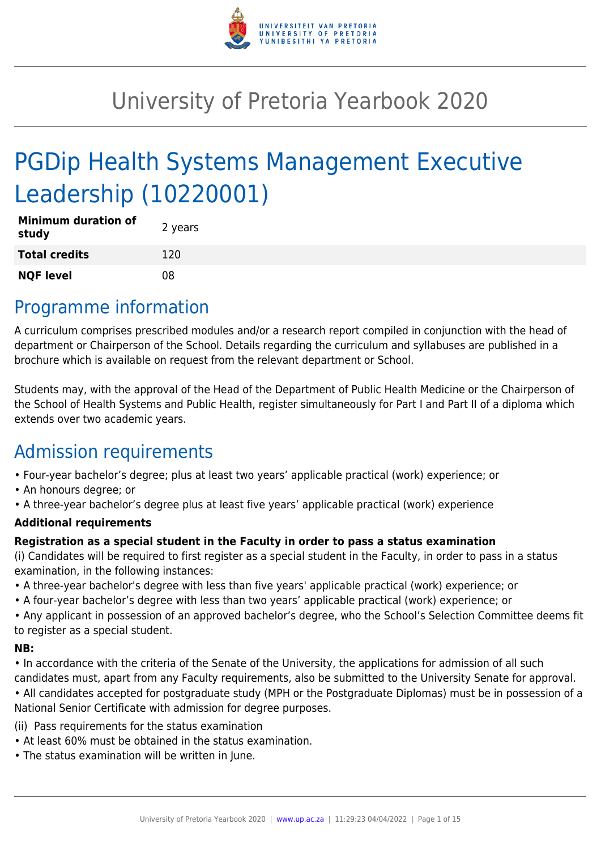

# University of Pretoria Yearbook 2020

# PGDip Health Systems Management Executive Leadership (10220001)

| <b>Minimum duration of</b><br>study | 2 years |
|-------------------------------------|---------|
| <b>Total credits</b>                | 120     |
| <b>NQF level</b>                    | 08      |

## Programme information

A curriculum comprises prescribed modules and/or a research report compiled in conjunction with the head of department or Chairperson of the School. Details regarding the curriculum and syllabuses are published in a brochure which is available on request from the relevant department or School.

Students may, with the approval of the Head of the Department of Public Health Medicine or the Chairperson of the School of Health Systems and Public Health, register simultaneously for Part I and Part II of a diploma which extends over two academic years.

## Admission requirements

- Four-year bachelor's degree; plus at least two years' applicable practical (work) experience; or
- An honours degree; or
- A three-year bachelor's degree plus at least five years' applicable practical (work) experience

#### **Additional requirements**

#### **Registration as a special student in the Faculty in order to pass a status examination**

(i) Candidates will be required to first register as a special student in the Faculty, in order to pass in a status examination, in the following instances:

- A three-year bachelor's degree with less than five years' applicable practical (work) experience; or
- A four-year bachelor's degree with less than two years' applicable practical (work) experience; or

• Any applicant in possession of an approved bachelor's degree, who the School's Selection Committee deems fit to register as a special student.

#### **NB:**

• In accordance with the criteria of the Senate of the University, the applications for admission of all such candidates must, apart from any Faculty requirements, also be submitted to the University Senate for approval.

• All candidates accepted for postgraduate study (MPH or the Postgraduate Diplomas) must be in possession of a National Senior Certificate with admission for degree purposes.

(ii) Pass requirements for the status examination

- At least 60% must be obtained in the status examination.
- The status examination will be written in June.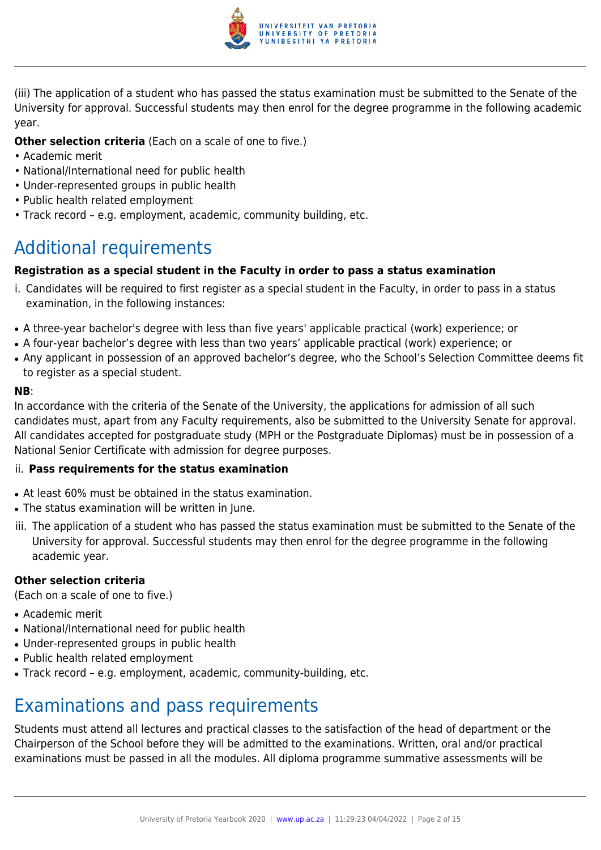

(iii) The application of a student who has passed the status examination must be submitted to the Senate of the University for approval. Successful students may then enrol for the degree programme in the following academic year.

#### **Other selection criteria** (Each on a scale of one to five.)

- Academic merit
- National/International need for public health
- Under-represented groups in public health
- Public health related employment
- Track record e.g. employment, academic, community building, etc.

## Additional requirements

#### **Registration as a special student in the Faculty in order to pass a status examination**

- i. Candidates will be required to first register as a special student in the Faculty, in order to pass in a status examination, in the following instances:
- A three-year bachelor's degree with less than five years' applicable practical (work) experience; or
- A four-year bachelor's degree with less than two years' applicable practical (work) experience; or
- Any applicant in possession of an approved bachelor's degree, who the School's Selection Committee deems fit to register as a special student.

#### **NB**:

In accordance with the criteria of the Senate of the University, the applications for admission of all such candidates must, apart from any Faculty requirements, also be submitted to the University Senate for approval. All candidates accepted for postgraduate study (MPH or the Postgraduate Diplomas) must be in possession of a National Senior Certificate with admission for degree purposes.

#### ii. **Pass requirements for the status examination**

- At least 60% must be obtained in the status examination.
- The status examination will be written in June.
- iii. The application of a student who has passed the status examination must be submitted to the Senate of the University for approval. Successful students may then enrol for the degree programme in the following academic year.

#### **Other selection criteria**

(Each on a scale of one to five.)

- Academic merit
- National/International need for public health
- Under-represented groups in public health
- Public health related employment
- Track record e.g. employment, academic, community-building, etc.

## Examinations and pass requirements

Students must attend all lectures and practical classes to the satisfaction of the head of department or the Chairperson of the School before they will be admitted to the examinations. Written, oral and/or practical examinations must be passed in all the modules. All diploma programme summative assessments will be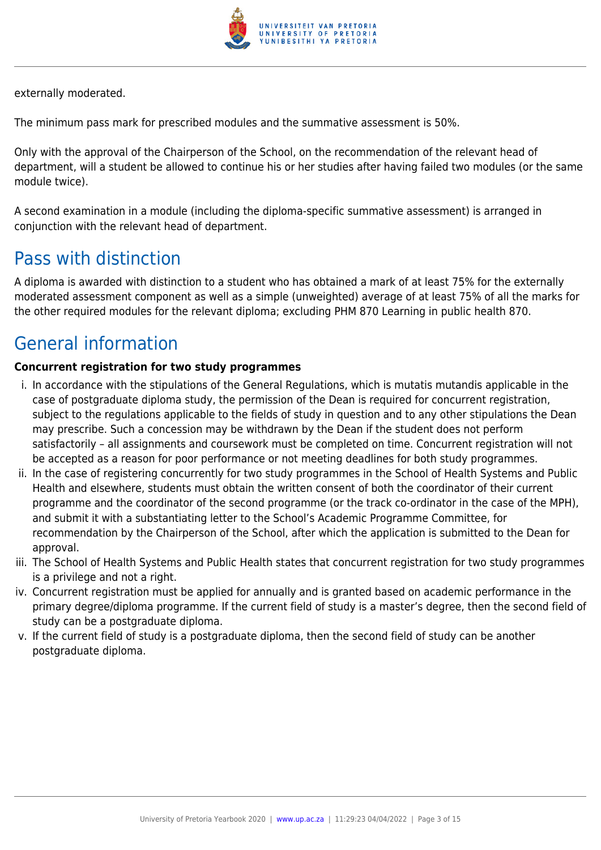

externally moderated.

The minimum pass mark for prescribed modules and the summative assessment is 50%.

Only with the approval of the Chairperson of the School, on the recommendation of the relevant head of department, will a student be allowed to continue his or her studies after having failed two modules (or the same module twice).

A second examination in a module (including the diploma-specific summative assessment) is arranged in conjunction with the relevant head of department.

## Pass with distinction

A diploma is awarded with distinction to a student who has obtained a mark of at least 75% for the externally moderated assessment component as well as a simple (unweighted) average of at least 75% of all the marks for the other required modules for the relevant diploma; excluding PHM 870 Learning in public health 870.

## General information

## **Concurrent registration for two study programmes**

- i. In accordance with the stipulations of the General Regulations, which is mutatis mutandis applicable in the case of postgraduate diploma study, the permission of the Dean is required for concurrent registration, subject to the regulations applicable to the fields of study in question and to any other stipulations the Dean may prescribe. Such a concession may be withdrawn by the Dean if the student does not perform satisfactorily – all assignments and coursework must be completed on time. Concurrent registration will not be accepted as a reason for poor performance or not meeting deadlines for both study programmes.
- ii. In the case of registering concurrently for two study programmes in the School of Health Systems and Public Health and elsewhere, students must obtain the written consent of both the coordinator of their current programme and the coordinator of the second programme (or the track co-ordinator in the case of the MPH), and submit it with a substantiating letter to the School's Academic Programme Committee, for recommendation by the Chairperson of the School, after which the application is submitted to the Dean for approval.
- iii. The School of Health Systems and Public Health states that concurrent registration for two study programmes is a privilege and not a right.
- iv. Concurrent registration must be applied for annually and is granted based on academic performance in the primary degree/diploma programme. If the current field of study is a master's degree, then the second field of study can be a postgraduate diploma.
- v. If the current field of study is a postgraduate diploma, then the second field of study can be another postgraduate diploma.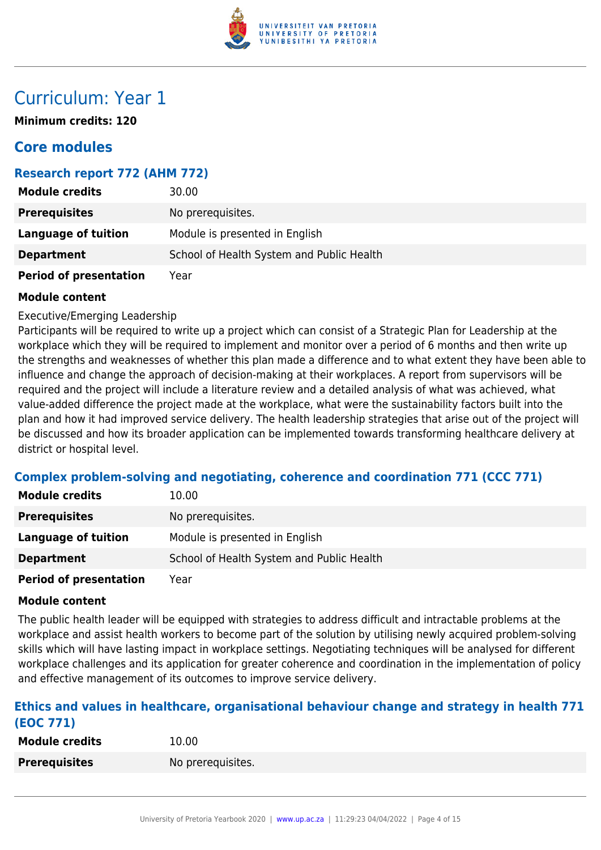

## Curriculum: Year 1

**Minimum credits: 120**

## **Core modules**

## **Research report 772 (AHM 772)**

| <b>Module credits</b>         | 30.00                                     |
|-------------------------------|-------------------------------------------|
| <b>Prerequisites</b>          | No prerequisites.                         |
| <b>Language of tuition</b>    | Module is presented in English            |
| <b>Department</b>             | School of Health System and Public Health |
| <b>Period of presentation</b> | Year                                      |

#### **Module content**

Executive/Emerging Leadership

Participants will be required to write up a project which can consist of a Strategic Plan for Leadership at the workplace which they will be required to implement and monitor over a period of 6 months and then write up the strengths and weaknesses of whether this plan made a difference and to what extent they have been able to influence and change the approach of decision-making at their workplaces. A report from supervisors will be required and the project will include a literature review and a detailed analysis of what was achieved, what value-added difference the project made at the workplace, what were the sustainability factors built into the plan and how it had improved service delivery. The health leadership strategies that arise out of the project will be discussed and how its broader application can be implemented towards transforming healthcare delivery at district or hospital level.

## **Complex problem-solving and negotiating, coherence and coordination 771 (CCC 771)**

| <b>Module credits</b>       | 10.00                                     |
|-----------------------------|-------------------------------------------|
| <b>Prerequisites</b>        | No prerequisites.                         |
| Language of tuition         | Module is presented in English            |
| <b>Department</b>           | School of Health System and Public Health |
| Booked of more contribution | $V = -$                                   |

**Period of presentation** Year

#### **Module content**

The public health leader will be equipped with strategies to address difficult and intractable problems at the workplace and assist health workers to become part of the solution by utilising newly acquired problem-solving skills which will have lasting impact in workplace settings. Negotiating techniques will be analysed for different workplace challenges and its application for greater coherence and coordination in the implementation of policy and effective management of its outcomes to improve service delivery.

#### **Ethics and values in healthcare, organisational behaviour change and strategy in health 771 (EOC 771)**

| <b>Module credits</b> | 10.00             |
|-----------------------|-------------------|
| <b>Prerequisites</b>  | No prerequisites. |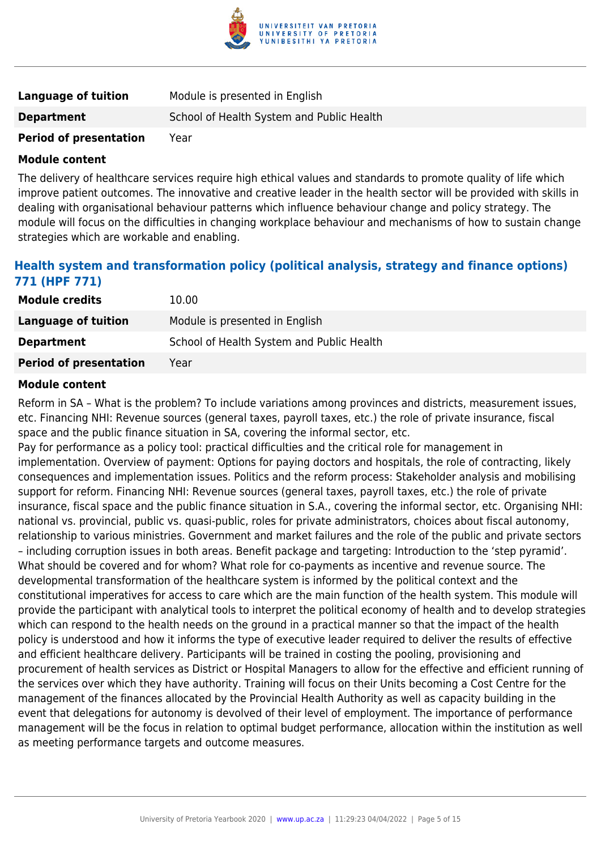

| <b>Language of tuition</b>    | Module is presented in English            |
|-------------------------------|-------------------------------------------|
| <b>Department</b>             | School of Health System and Public Health |
| <b>Period of presentation</b> | Year                                      |

The delivery of healthcare services require high ethical values and standards to promote quality of life which improve patient outcomes. The innovative and creative leader in the health sector will be provided with skills in dealing with organisational behaviour patterns which influence behaviour change and policy strategy. The module will focus on the difficulties in changing workplace behaviour and mechanisms of how to sustain change strategies which are workable and enabling.

## **Health system and transformation policy (political analysis, strategy and finance options) 771 (HPF 771)**

| <b>Module credits</b>         | 10.00                                     |
|-------------------------------|-------------------------------------------|
| Language of tuition           | Module is presented in English            |
| <b>Department</b>             | School of Health System and Public Health |
| <b>Period of presentation</b> | Year                                      |

#### **Module content**

Reform in SA – What is the problem? To include variations among provinces and districts, measurement issues, etc. Financing NHI: Revenue sources (general taxes, payroll taxes, etc.) the role of private insurance, fiscal space and the public finance situation in SA, covering the informal sector, etc.

Pay for performance as a policy tool: practical difficulties and the critical role for management in implementation. Overview of payment: Options for paying doctors and hospitals, the role of contracting, likely consequences and implementation issues. Politics and the reform process: Stakeholder analysis and mobilising support for reform. Financing NHI: Revenue sources (general taxes, payroll taxes, etc.) the role of private insurance, fiscal space and the public finance situation in S.A., covering the informal sector, etc. Organising NHI: national vs. provincial, public vs. quasi-public, roles for private administrators, choices about fiscal autonomy, relationship to various ministries. Government and market failures and the role of the public and private sectors – including corruption issues in both areas. Benefit package and targeting: Introduction to the 'step pyramid'. What should be covered and for whom? What role for co-payments as incentive and revenue source. The developmental transformation of the healthcare system is informed by the political context and the constitutional imperatives for access to care which are the main function of the health system. This module will provide the participant with analytical tools to interpret the political economy of health and to develop strategies which can respond to the health needs on the ground in a practical manner so that the impact of the health policy is understood and how it informs the type of executive leader required to deliver the results of effective and efficient healthcare delivery. Participants will be trained in costing the pooling, provisioning and procurement of health services as District or Hospital Managers to allow for the effective and efficient running of the services over which they have authority. Training will focus on their Units becoming a Cost Centre for the management of the finances allocated by the Provincial Health Authority as well as capacity building in the event that delegations for autonomy is devolved of their level of employment. The importance of performance management will be the focus in relation to optimal budget performance, allocation within the institution as well as meeting performance targets and outcome measures.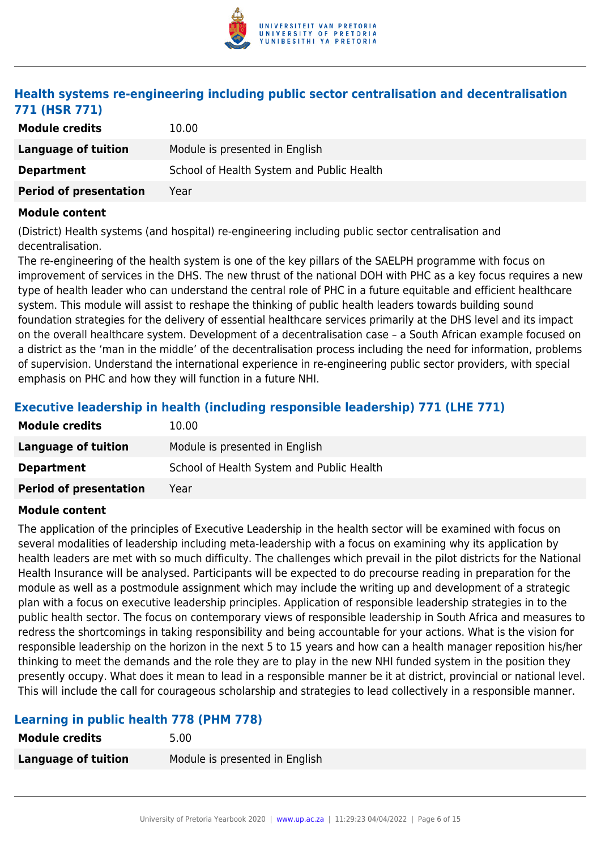

## **Health systems re-engineering including public sector centralisation and decentralisation 771 (HSR 771)**

| <b>Module credits</b>         | 10.00                                     |
|-------------------------------|-------------------------------------------|
| Language of tuition           | Module is presented in English            |
| <b>Department</b>             | School of Health System and Public Health |
| <b>Period of presentation</b> | Year                                      |

#### **Module content**

(District) Health systems (and hospital) re-engineering including public sector centralisation and decentralisation.

The re-engineering of the health system is one of the key pillars of the SAELPH programme with focus on improvement of services in the DHS. The new thrust of the national DOH with PHC as a key focus requires a new type of health leader who can understand the central role of PHC in a future equitable and efficient healthcare system. This module will assist to reshape the thinking of public health leaders towards building sound foundation strategies for the delivery of essential healthcare services primarily at the DHS level and its impact on the overall healthcare system. Development of a decentralisation case – a South African example focused on a district as the 'man in the middle' of the decentralisation process including the need for information, problems of supervision. Understand the international experience in re-engineering public sector providers, with special emphasis on PHC and how they will function in a future NHI.

## **Executive leadership in health (including responsible leadership) 771 (LHE 771)**

| <b>Module credits</b>         | 10.00                                     |
|-------------------------------|-------------------------------------------|
| Language of tuition           | Module is presented in English            |
| <b>Department</b>             | School of Health System and Public Health |
| <b>Period of presentation</b> | Year                                      |

#### **Module content**

The application of the principles of Executive Leadership in the health sector will be examined with focus on several modalities of leadership including meta-leadership with a focus on examining why its application by health leaders are met with so much difficulty. The challenges which prevail in the pilot districts for the National Health Insurance will be analysed. Participants will be expected to do precourse reading in preparation for the module as well as a postmodule assignment which may include the writing up and development of a strategic plan with a focus on executive leadership principles. Application of responsible leadership strategies in to the public health sector. The focus on contemporary views of responsible leadership in South Africa and measures to redress the shortcomings in taking responsibility and being accountable for your actions. What is the vision for responsible leadership on the horizon in the next 5 to 15 years and how can a health manager reposition his/her thinking to meet the demands and the role they are to play in the new NHI funded system in the position they presently occupy. What does it mean to lead in a responsible manner be it at district, provincial or national level. This will include the call for courageous scholarship and strategies to lead collectively in a responsible manner.

## **Learning in public health 778 (PHM 778)**

| <b>Module credits</b>      | 5.00                           |
|----------------------------|--------------------------------|
| <b>Language of tuition</b> | Module is presented in English |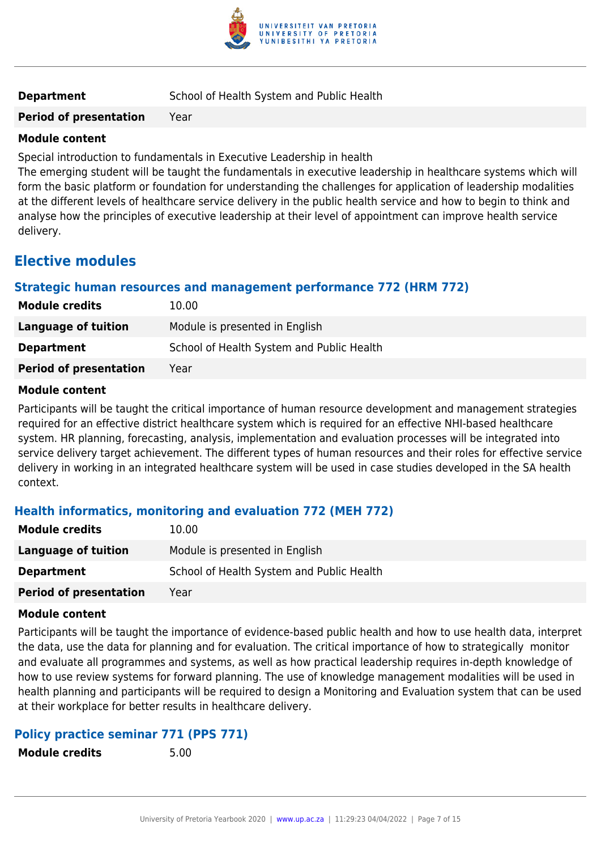

**Period of presentation** Year

#### **Module content**

Special introduction to fundamentals in Executive Leadership in health

The emerging student will be taught the fundamentals in executive leadership in healthcare systems which will form the basic platform or foundation for understanding the challenges for application of leadership modalities at the different levels of healthcare service delivery in the public health service and how to begin to think and analyse how the principles of executive leadership at their level of appointment can improve health service delivery.

## **Elective modules**

## **Strategic human resources and management performance 772 (HRM 772)**

| <b>Module credits</b>         | 10.00                                     |
|-------------------------------|-------------------------------------------|
| Language of tuition           | Module is presented in English            |
| <b>Department</b>             | School of Health System and Public Health |
| <b>Period of presentation</b> | Year                                      |

#### **Module content**

Participants will be taught the critical importance of human resource development and management strategies required for an effective district healthcare system which is required for an effective NHI-based healthcare system. HR planning, forecasting, analysis, implementation and evaluation processes will be integrated into service delivery target achievement. The different types of human resources and their roles for effective service delivery in working in an integrated healthcare system will be used in case studies developed in the SA health context.

## **Health informatics, monitoring and evaluation 772 (MEH 772)**

| <b>Module credits</b>         | 10.00                                     |
|-------------------------------|-------------------------------------------|
| Language of tuition           | Module is presented in English            |
| <b>Department</b>             | School of Health System and Public Health |
| <b>Period of presentation</b> | Year                                      |

#### **Module content**

Participants will be taught the importance of evidence-based public health and how to use health data, interpret the data, use the data for planning and for evaluation. The critical importance of how to strategically monitor and evaluate all programmes and systems, as well as how practical leadership requires in-depth knowledge of how to use review systems for forward planning. The use of knowledge management modalities will be used in health planning and participants will be required to design a Monitoring and Evaluation system that can be used at their workplace for better results in healthcare delivery.

## **Policy practice seminar 771 (PPS 771)**

**Module credits** 5.00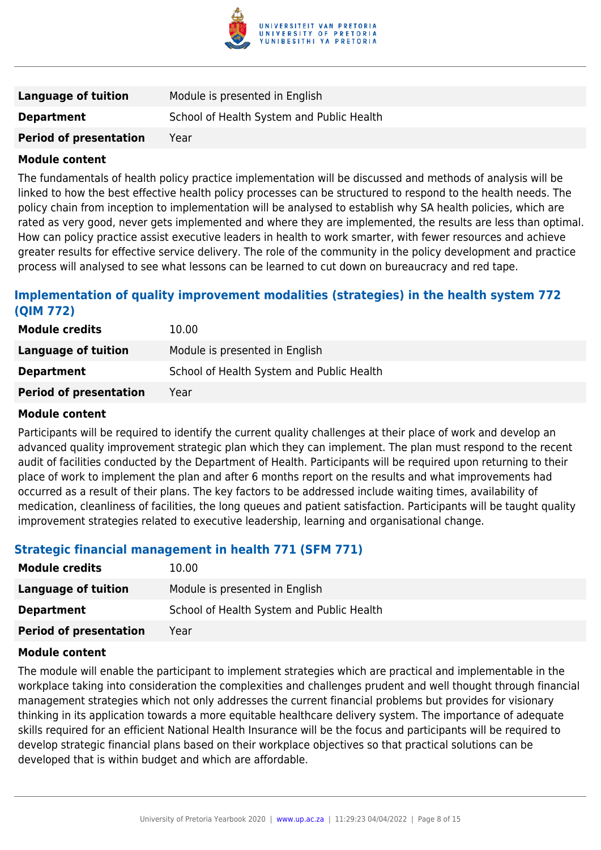

| Language of tuition           | Module is presented in English            |
|-------------------------------|-------------------------------------------|
| <b>Department</b>             | School of Health System and Public Health |
| <b>Period of presentation</b> | Year                                      |

The fundamentals of health policy practice implementation will be discussed and methods of analysis will be linked to how the best effective health policy processes can be structured to respond to the health needs. The policy chain from inception to implementation will be analysed to establish why SA health policies, which are rated as very good, never gets implemented and where they are implemented, the results are less than optimal. How can policy practice assist executive leaders in health to work smarter, with fewer resources and achieve greater results for effective service delivery. The role of the community in the policy development and practice process will analysed to see what lessons can be learned to cut down on bureaucracy and red tape.

## **Implementation of quality improvement modalities (strategies) in the health system 772 (QIM 772)**

| <b>Module credits</b>         | 10.00                                     |
|-------------------------------|-------------------------------------------|
| Language of tuition           | Module is presented in English            |
| <b>Department</b>             | School of Health System and Public Health |
| <b>Period of presentation</b> | Year                                      |

#### **Module content**

Participants will be required to identify the current quality challenges at their place of work and develop an advanced quality improvement strategic plan which they can implement. The plan must respond to the recent audit of facilities conducted by the Department of Health. Participants will be required upon returning to their place of work to implement the plan and after 6 months report on the results and what improvements had occurred as a result of their plans. The key factors to be addressed include waiting times, availability of medication, cleanliness of facilities, the long queues and patient satisfaction. Participants will be taught quality improvement strategies related to executive leadership, learning and organisational change.

#### **Strategic financial management in health 771 (SFM 771)**

| <b>Module credits</b>         | 10.00                                     |
|-------------------------------|-------------------------------------------|
| <b>Language of tuition</b>    | Module is presented in English            |
| <b>Department</b>             | School of Health System and Public Health |
| <b>Period of presentation</b> | Year                                      |

#### **Module content**

The module will enable the participant to implement strategies which are practical and implementable in the workplace taking into consideration the complexities and challenges prudent and well thought through financial management strategies which not only addresses the current financial problems but provides for visionary thinking in its application towards a more equitable healthcare delivery system. The importance of adequate skills required for an efficient National Health Insurance will be the focus and participants will be required to develop strategic financial plans based on their workplace objectives so that practical solutions can be developed that is within budget and which are affordable.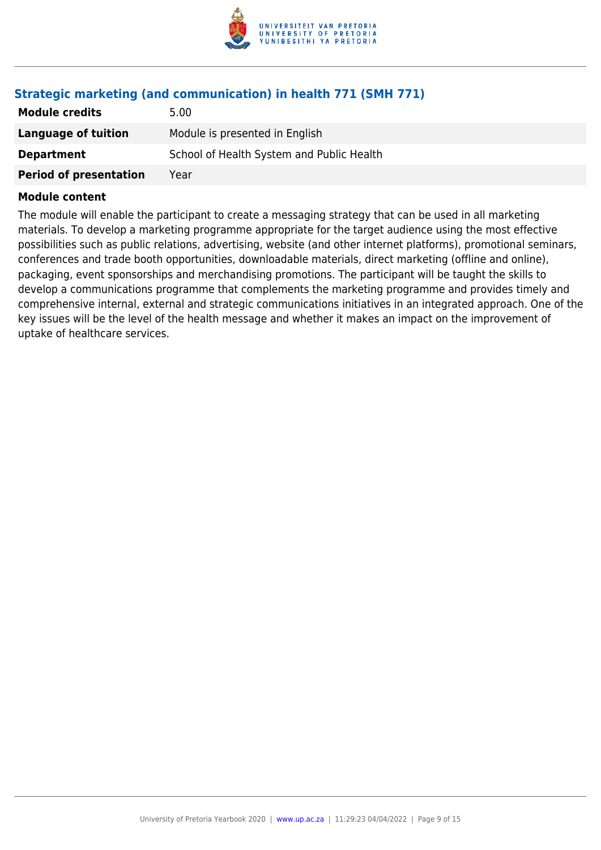

## **Strategic marketing (and communication) in health 771 (SMH 771)**

| <b>Module credits</b>         | 5.00                                      |
|-------------------------------|-------------------------------------------|
| Language of tuition           | Module is presented in English            |
| <b>Department</b>             | School of Health System and Public Health |
| <b>Period of presentation</b> | Year                                      |

#### **Module content**

The module will enable the participant to create a messaging strategy that can be used in all marketing materials. To develop a marketing programme appropriate for the target audience using the most effective possibilities such as public relations, advertising, website (and other internet platforms), promotional seminars, conferences and trade booth opportunities, downloadable materials, direct marketing (offline and online), packaging, event sponsorships and merchandising promotions. The participant will be taught the skills to develop a communications programme that complements the marketing programme and provides timely and comprehensive internal, external and strategic communications initiatives in an integrated approach. One of the key issues will be the level of the health message and whether it makes an impact on the improvement of uptake of healthcare services.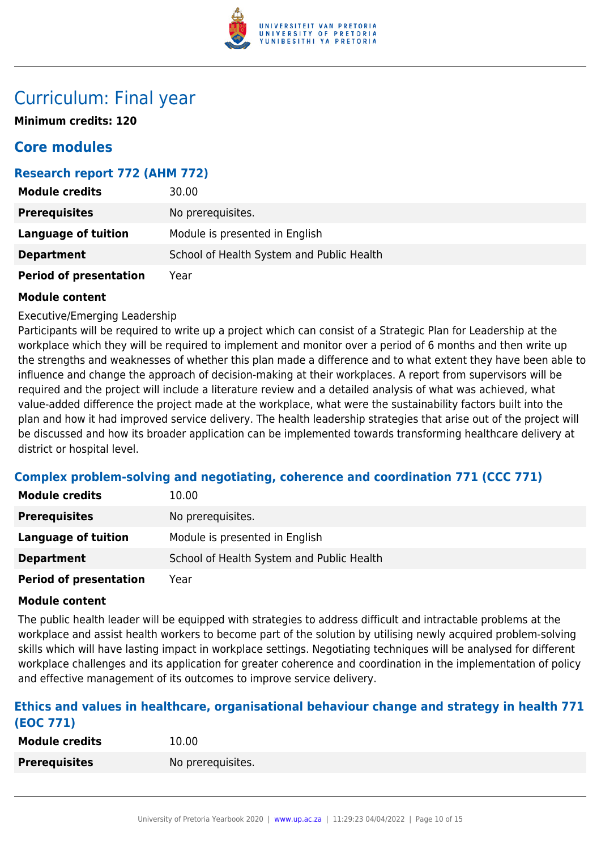

## Curriculum: Final year

**Minimum credits: 120**

## **Core modules**

## **Research report 772 (AHM 772)**

| <b>Module credits</b>         | 30.00                                     |
|-------------------------------|-------------------------------------------|
| <b>Prerequisites</b>          | No prerequisites.                         |
| <b>Language of tuition</b>    | Module is presented in English            |
| <b>Department</b>             | School of Health System and Public Health |
| <b>Period of presentation</b> | Year                                      |

#### **Module content**

Executive/Emerging Leadership

Participants will be required to write up a project which can consist of a Strategic Plan for Leadership at the workplace which they will be required to implement and monitor over a period of 6 months and then write up the strengths and weaknesses of whether this plan made a difference and to what extent they have been able to influence and change the approach of decision-making at their workplaces. A report from supervisors will be required and the project will include a literature review and a detailed analysis of what was achieved, what value-added difference the project made at the workplace, what were the sustainability factors built into the plan and how it had improved service delivery. The health leadership strategies that arise out of the project will be discussed and how its broader application can be implemented towards transforming healthcare delivery at district or hospital level.

## **Complex problem-solving and negotiating, coherence and coordination 771 (CCC 771)**

| <b>Module credits</b>      | 10.00                                     |
|----------------------------|-------------------------------------------|
| <b>Prerequisites</b>       | No prerequisites.                         |
| Language of tuition        | Module is presented in English            |
| <b>Department</b>          | School of Health System and Public Health |
| Booked of more contable in | $\mathcal{M}$ $\sim$ $\sim$               |

**Period of presentation** Year

#### **Module content**

The public health leader will be equipped with strategies to address difficult and intractable problems at the workplace and assist health workers to become part of the solution by utilising newly acquired problem-solving skills which will have lasting impact in workplace settings. Negotiating techniques will be analysed for different workplace challenges and its application for greater coherence and coordination in the implementation of policy and effective management of its outcomes to improve service delivery.

#### **Ethics and values in healthcare, organisational behaviour change and strategy in health 771 (EOC 771)**

| <b>Module credits</b> | 10.00             |
|-----------------------|-------------------|
| <b>Prerequisites</b>  | No prerequisites. |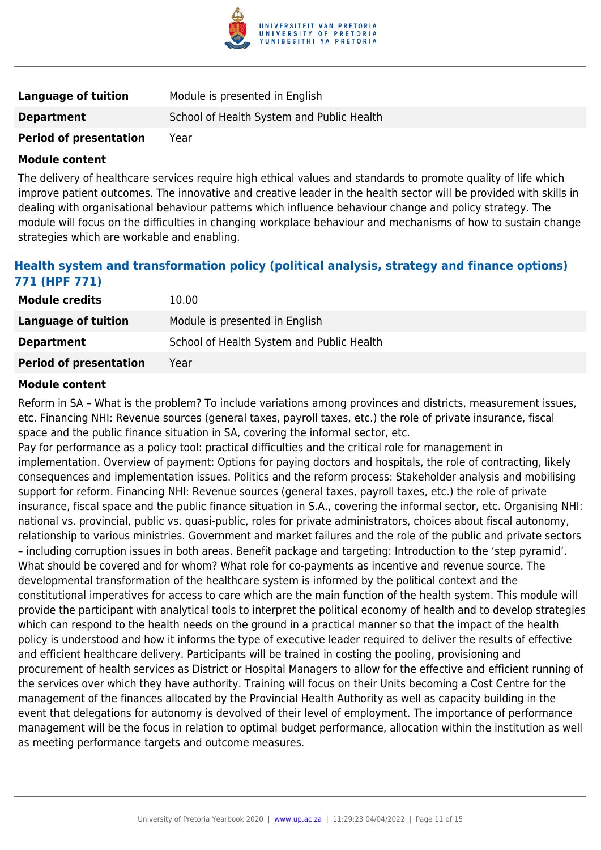

| Language of tuition           | Module is presented in English            |
|-------------------------------|-------------------------------------------|
| <b>Department</b>             | School of Health System and Public Health |
| <b>Period of presentation</b> | Year                                      |

The delivery of healthcare services require high ethical values and standards to promote quality of life which improve patient outcomes. The innovative and creative leader in the health sector will be provided with skills in dealing with organisational behaviour patterns which influence behaviour change and policy strategy. The module will focus on the difficulties in changing workplace behaviour and mechanisms of how to sustain change strategies which are workable and enabling.

## **Health system and transformation policy (political analysis, strategy and finance options) 771 (HPF 771)**

| <b>Module credits</b>         | 10.00                                     |
|-------------------------------|-------------------------------------------|
| Language of tuition           | Module is presented in English            |
| <b>Department</b>             | School of Health System and Public Health |
| <b>Period of presentation</b> | Year                                      |

#### **Module content**

Reform in SA – What is the problem? To include variations among provinces and districts, measurement issues, etc. Financing NHI: Revenue sources (general taxes, payroll taxes, etc.) the role of private insurance, fiscal space and the public finance situation in SA, covering the informal sector, etc.

Pay for performance as a policy tool: practical difficulties and the critical role for management in implementation. Overview of payment: Options for paying doctors and hospitals, the role of contracting, likely consequences and implementation issues. Politics and the reform process: Stakeholder analysis and mobilising support for reform. Financing NHI: Revenue sources (general taxes, payroll taxes, etc.) the role of private insurance, fiscal space and the public finance situation in S.A., covering the informal sector, etc. Organising NHI: national vs. provincial, public vs. quasi-public, roles for private administrators, choices about fiscal autonomy, relationship to various ministries. Government and market failures and the role of the public and private sectors – including corruption issues in both areas. Benefit package and targeting: Introduction to the 'step pyramid'. What should be covered and for whom? What role for co-payments as incentive and revenue source. The developmental transformation of the healthcare system is informed by the political context and the constitutional imperatives for access to care which are the main function of the health system. This module will provide the participant with analytical tools to interpret the political economy of health and to develop strategies which can respond to the health needs on the ground in a practical manner so that the impact of the health policy is understood and how it informs the type of executive leader required to deliver the results of effective and efficient healthcare delivery. Participants will be trained in costing the pooling, provisioning and procurement of health services as District or Hospital Managers to allow for the effective and efficient running of the services over which they have authority. Training will focus on their Units becoming a Cost Centre for the management of the finances allocated by the Provincial Health Authority as well as capacity building in the event that delegations for autonomy is devolved of their level of employment. The importance of performance management will be the focus in relation to optimal budget performance, allocation within the institution as well as meeting performance targets and outcome measures.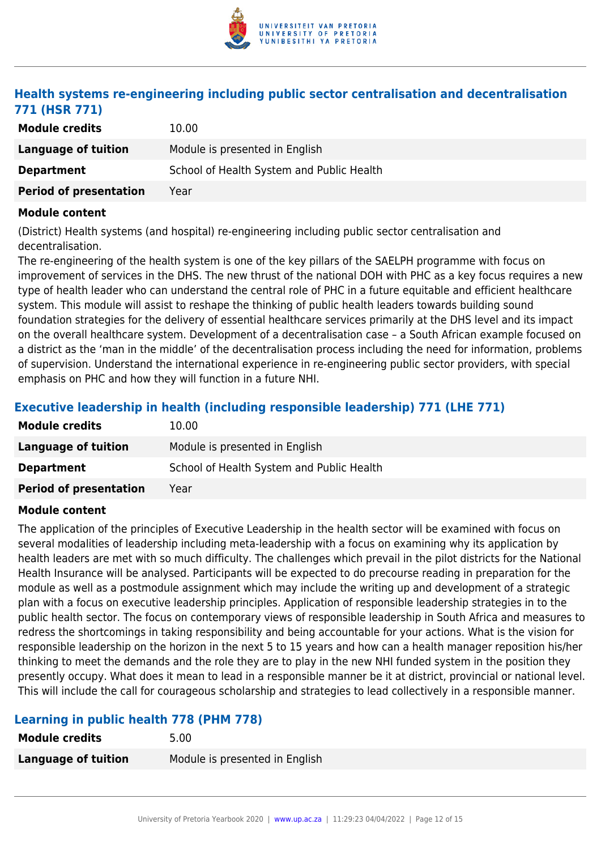

## **Health systems re-engineering including public sector centralisation and decentralisation 771 (HSR 771)**

| <b>Module credits</b>         | 10.00                                     |
|-------------------------------|-------------------------------------------|
| Language of tuition           | Module is presented in English            |
| <b>Department</b>             | School of Health System and Public Health |
| <b>Period of presentation</b> | Year                                      |

#### **Module content**

(District) Health systems (and hospital) re-engineering including public sector centralisation and decentralisation.

The re-engineering of the health system is one of the key pillars of the SAELPH programme with focus on improvement of services in the DHS. The new thrust of the national DOH with PHC as a key focus requires a new type of health leader who can understand the central role of PHC in a future equitable and efficient healthcare system. This module will assist to reshape the thinking of public health leaders towards building sound foundation strategies for the delivery of essential healthcare services primarily at the DHS level and its impact on the overall healthcare system. Development of a decentralisation case – a South African example focused on a district as the 'man in the middle' of the decentralisation process including the need for information, problems of supervision. Understand the international experience in re-engineering public sector providers, with special emphasis on PHC and how they will function in a future NHI.

## **Executive leadership in health (including responsible leadership) 771 (LHE 771)**

| <b>Module credits</b>         | 10.00                                     |
|-------------------------------|-------------------------------------------|
| Language of tuition           | Module is presented in English            |
| <b>Department</b>             | School of Health System and Public Health |
| <b>Period of presentation</b> | Year                                      |

#### **Module content**

The application of the principles of Executive Leadership in the health sector will be examined with focus on several modalities of leadership including meta-leadership with a focus on examining why its application by health leaders are met with so much difficulty. The challenges which prevail in the pilot districts for the National Health Insurance will be analysed. Participants will be expected to do precourse reading in preparation for the module as well as a postmodule assignment which may include the writing up and development of a strategic plan with a focus on executive leadership principles. Application of responsible leadership strategies in to the public health sector. The focus on contemporary views of responsible leadership in South Africa and measures to redress the shortcomings in taking responsibility and being accountable for your actions. What is the vision for responsible leadership on the horizon in the next 5 to 15 years and how can a health manager reposition his/her thinking to meet the demands and the role they are to play in the new NHI funded system in the position they presently occupy. What does it mean to lead in a responsible manner be it at district, provincial or national level. This will include the call for courageous scholarship and strategies to lead collectively in a responsible manner.

## **Learning in public health 778 (PHM 778)**

| <b>Module credits</b>      | 5.00                           |
|----------------------------|--------------------------------|
| <b>Language of tuition</b> | Module is presented in English |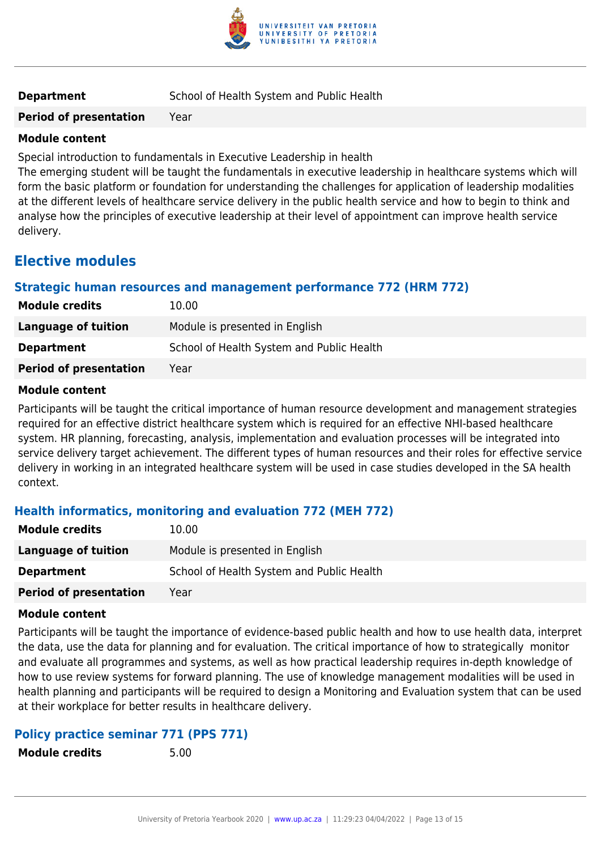

**Period of presentation** Year

#### **Module content**

Special introduction to fundamentals in Executive Leadership in health

The emerging student will be taught the fundamentals in executive leadership in healthcare systems which will form the basic platform or foundation for understanding the challenges for application of leadership modalities at the different levels of healthcare service delivery in the public health service and how to begin to think and analyse how the principles of executive leadership at their level of appointment can improve health service delivery.

## **Elective modules**

#### **Strategic human resources and management performance 772 (HRM 772)**

| <b>Module credits</b>         | 10.00                                     |
|-------------------------------|-------------------------------------------|
| Language of tuition           | Module is presented in English            |
| <b>Department</b>             | School of Health System and Public Health |
| <b>Period of presentation</b> | Year                                      |

#### **Module content**

Participants will be taught the critical importance of human resource development and management strategies required for an effective district healthcare system which is required for an effective NHI-based healthcare system. HR planning, forecasting, analysis, implementation and evaluation processes will be integrated into service delivery target achievement. The different types of human resources and their roles for effective service delivery in working in an integrated healthcare system will be used in case studies developed in the SA health context.

## **Health informatics, monitoring and evaluation 772 (MEH 772)**

| <b>Module credits</b>         | 10.00                                     |
|-------------------------------|-------------------------------------------|
| Language of tuition           | Module is presented in English            |
| <b>Department</b>             | School of Health System and Public Health |
| <b>Period of presentation</b> | Year                                      |

#### **Module content**

Participants will be taught the importance of evidence-based public health and how to use health data, interpret the data, use the data for planning and for evaluation. The critical importance of how to strategically monitor and evaluate all programmes and systems, as well as how practical leadership requires in-depth knowledge of how to use review systems for forward planning. The use of knowledge management modalities will be used in health planning and participants will be required to design a Monitoring and Evaluation system that can be used at their workplace for better results in healthcare delivery.

#### **Policy practice seminar 771 (PPS 771)**

**Module credits** 5.00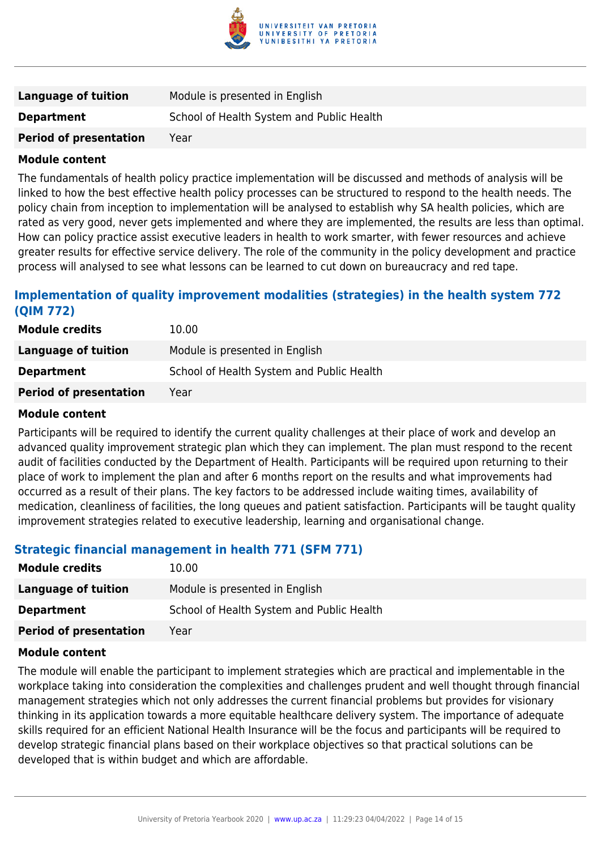

| Language of tuition           | Module is presented in English            |
|-------------------------------|-------------------------------------------|
| <b>Department</b>             | School of Health System and Public Health |
| <b>Period of presentation</b> | Year                                      |

The fundamentals of health policy practice implementation will be discussed and methods of analysis will be linked to how the best effective health policy processes can be structured to respond to the health needs. The policy chain from inception to implementation will be analysed to establish why SA health policies, which are rated as very good, never gets implemented and where they are implemented, the results are less than optimal. How can policy practice assist executive leaders in health to work smarter, with fewer resources and achieve greater results for effective service delivery. The role of the community in the policy development and practice process will analysed to see what lessons can be learned to cut down on bureaucracy and red tape.

## **Implementation of quality improvement modalities (strategies) in the health system 772 (QIM 772)**

| <b>Module credits</b>         | 10.00                                     |
|-------------------------------|-------------------------------------------|
| Language of tuition           | Module is presented in English            |
| <b>Department</b>             | School of Health System and Public Health |
| <b>Period of presentation</b> | Year                                      |

#### **Module content**

Participants will be required to identify the current quality challenges at their place of work and develop an advanced quality improvement strategic plan which they can implement. The plan must respond to the recent audit of facilities conducted by the Department of Health. Participants will be required upon returning to their place of work to implement the plan and after 6 months report on the results and what improvements had occurred as a result of their plans. The key factors to be addressed include waiting times, availability of medication, cleanliness of facilities, the long queues and patient satisfaction. Participants will be taught quality improvement strategies related to executive leadership, learning and organisational change.

#### **Strategic financial management in health 771 (SFM 771)**

| <b>Module credits</b>         | 10.00                                     |
|-------------------------------|-------------------------------------------|
| Language of tuition           | Module is presented in English            |
| <b>Department</b>             | School of Health System and Public Health |
| <b>Period of presentation</b> | Year                                      |

#### **Module content**

The module will enable the participant to implement strategies which are practical and implementable in the workplace taking into consideration the complexities and challenges prudent and well thought through financial management strategies which not only addresses the current financial problems but provides for visionary thinking in its application towards a more equitable healthcare delivery system. The importance of adequate skills required for an efficient National Health Insurance will be the focus and participants will be required to develop strategic financial plans based on their workplace objectives so that practical solutions can be developed that is within budget and which are affordable.